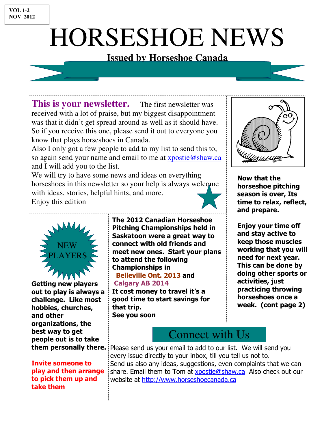# HORSESHOE NEWS

### **Issued by Horseshoe Canada**

**This is your newsletter.** The first newsletter was received with a lot of praise, but my biggest disappointment was that it didn't get spread around as well as it should have. So if you receive this one, please send it out to everyone you know that plays horseshoes in Canada.

Also I only got a few people to add to my list to send this to, so again send your name and email to me at xpostie@shaw.ca and I will add you to the list.

We will try to have some news and ideas on everything horseshoes in this newsletter so your help is always welcome with ideas, stories, helpful hints, and more. Enjoy this edition



Now that the horseshoe pitching season is over, Its time to relax, reflect, and prepare.

Enjoy your time off and stay active to keep those muscles working that you will need for next year. This can be done by doing other sports or activities, just practicing throwing horseshoes once a week. (cont page 2)



Getting new players out to play is always a challenge. Like most hobbies, churches, and other organizations, the best way to get people out is to take them personally there.

#### Invite someone to play and then arrange to pick them up and take them

The 2012 Canadian Horseshoe Pitching Championships held in Saskatoon were a great way to connect with old friends and meet new ones. Start your plans to attend the following Championships in Belleville Ont. 2013 and Calgary AB 2014 It cost money to travel it's a good time to start savings for that trip. See you soon

Connect with Us

Please send us your email to add to our list. We will send you every issue directly to your inbox, till you tell us not to. Send us also any ideas, suggestions, even complaints that we can share. Email them to Tom at **xpostie@shaw.ca** Also check out our website at http://www.horseshoecanada.ca